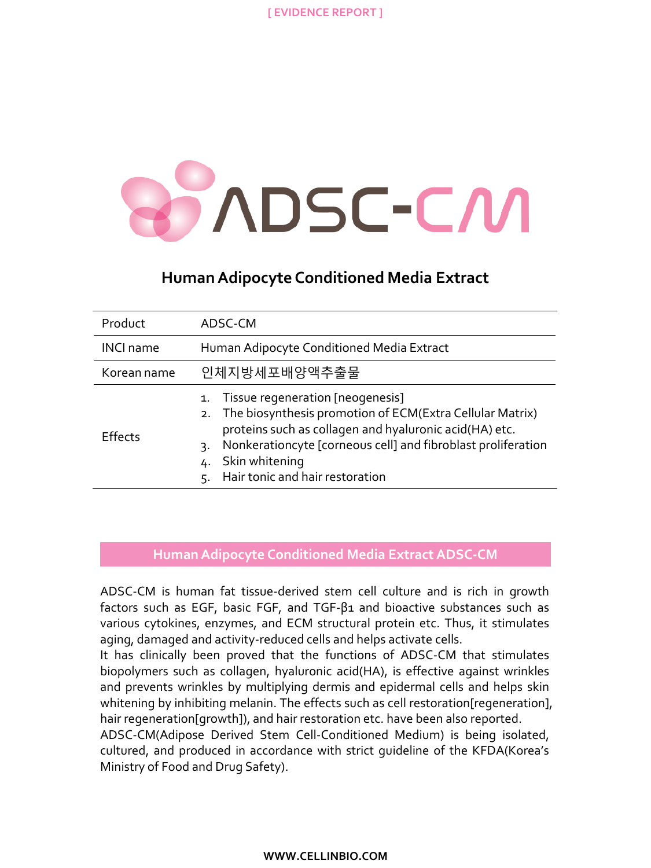

# **Human Adipocyte Conditioned Media Extract**

| Product          | ADSC-CM                                                                                                                                                                                                                                                                                       |
|------------------|-----------------------------------------------------------------------------------------------------------------------------------------------------------------------------------------------------------------------------------------------------------------------------------------------|
| <b>INCI name</b> | Human Adipocyte Conditioned Media Extract                                                                                                                                                                                                                                                     |
| Korean name      | 인체지방세포배양액추출물                                                                                                                                                                                                                                                                                  |
| <b>Effects</b>   | 1. Tissue regeneration [neogenesis]<br>2. The biosynthesis promotion of ECM(Extra Cellular Matrix)<br>proteins such as collagen and hyaluronic acid(HA) etc.<br>Nonkerationcyte [corneous cell] and fibroblast proliferation<br>3.<br>Skin whitening<br>Hair tonic and hair restoration<br>5. |

### **Human Adipocyte Conditioned Media ExtractADSC-CM**

ADSC-CM is human fat tissue-derived stem cell culture and is rich in growth factors such as EGF, basic FGF, and TGF-β1 and bioactive substances such as various cytokines, enzymes, and ECM structural protein etc. Thus, it stimulates aging, damaged and activity-reduced cells and helps activate cells.

It has clinically been proved that the functions of ADSC-CM that stimulates biopolymers such as collagen, hyaluronic acid(HA), is effective against wrinkles and prevents wrinkles by multiplying dermis and epidermal cells and helps skin whitening by inhibiting melanin. The effects such as cell restoration[regeneration], hair regeneration[growth]), and hair restoration etc. have been also reported.

ADSC-CM(Adipose Derived Stem Cell-Conditioned Medium) is being isolated, cultured, and produced in accordance with strict guideline of the KFDA(Korea's Ministry of Food and Drug Safety).

#### **WWW.CELLINBIO.COM**